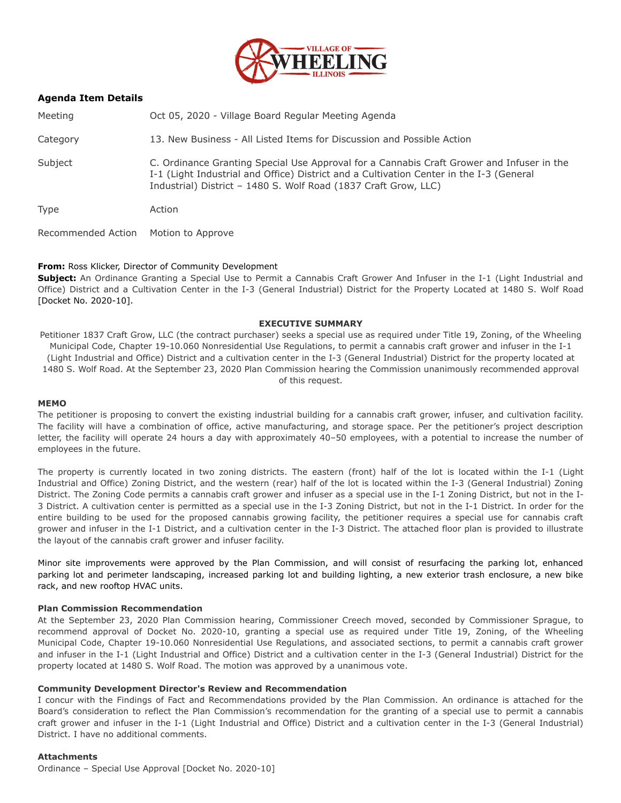

## **Agenda Item Details**

Meeting Oct 05, 2020 - Village Board Regular Meeting Agenda

Category 13. New Business - All Listed Items for Discussion and Possible Action

Subject C. Ordinance Granting Special Use Approval for a Cannabis Craft Grower and Infuser in the I-1 (Light Industrial and Office) District and a Cultivation Center in the I-3 (General Industrial) District – 1480 S. Wolf Road (1837 Craft Grow, LLC)

Type Action

Recommended Action Motion to Approve

## **From:** Ross Klicker, Director of Community Development

**Subject:** An Ordinance Granting a Special Use to Permit a Cannabis Craft Grower And Infuser in the I-1 (Light Industrial and Office) District and a Cultivation Center in the I-3 (General Industrial) District for the Property Located at 1480 S. Wolf Road [Docket No. 2020-10].

### **EXECUTIVE SUMMARY**

Petitioner 1837 Craft Grow, LLC (the contract purchaser) seeks a special use as required under Title 19, Zoning, of the Wheeling Municipal Code, Chapter 19-10.060 Nonresidential Use Regulations, to permit a cannabis craft grower and infuser in the I-1 (Light Industrial and Office) District and a cultivation center in the I-3 (General Industrial) District for the property located at 1480 S. Wolf Road. At the September 23, 2020 Plan Commission hearing the Commission unanimously recommended approval of this request.

#### **MEMO**

The petitioner is proposing to convert the existing industrial building for a cannabis craft grower, infuser, and cultivation facility. The facility will have a combination of office, active manufacturing, and storage space. Per the petitioner's project description letter, the facility will operate 24 hours a day with approximately 40–50 employees, with a potential to increase the number of employees in the future.

The property is currently located in two zoning districts. The eastern (front) half of the lot is located within the I-1 (Light Industrial and Office) Zoning District, and the western (rear) half of the lot is located within the I-3 (General Industrial) Zoning District. The Zoning Code permits a cannabis craft grower and infuser as a special use in the I-1 Zoning District, but not in the I-3 District. A cultivation center is permitted as a special use in the I-3 Zoning District, but not in the I-1 District. In order for the entire building to be used for the proposed cannabis growing facility, the petitioner requires a special use for cannabis craft grower and infuser in the I-1 District, and a cultivation center in the I-3 District. The attached floor plan is provided to illustrate the layout of the cannabis craft grower and infuser facility.

Minor site improvements were approved by the Plan Commission, and will consist of resurfacing the parking lot, enhanced parking lot and perimeter landscaping, increased parking lot and building lighting, a new exterior trash enclosure, a new bike rack, and new rooftop HVAC units.

### **Plan Commission Recommendation**

At the September 23, 2020 Plan Commission hearing, Commissioner Creech moved, seconded by Commissioner Sprague, to recommend approval of Docket No. 2020-10, granting a special use as required under Title 19, Zoning, of the Wheeling Municipal Code, Chapter 19-10.060 Nonresidential Use Regulations, and associated sections, to permit a cannabis craft grower and infuser in the I-1 (Light Industrial and Office) District and a cultivation center in the I-3 (General Industrial) District for the property located at 1480 S. Wolf Road. The motion was approved by a unanimous vote.

### **Community Development Director's Review and Recommendation**

I concur with the Findings of Fact and Recommendations provided by the Plan Commission. An ordinance is attached for the Board's consideration to reflect the Plan Commission's recommendation for the granting of a special use to permit a cannabis craft grower and infuser in the I-1 (Light Industrial and Office) District and a cultivation center in the I-3 (General Industrial) District. I have no additional comments.

### **Attachments**

Ordinance – Special Use Approval [Docket No. 2020-10]